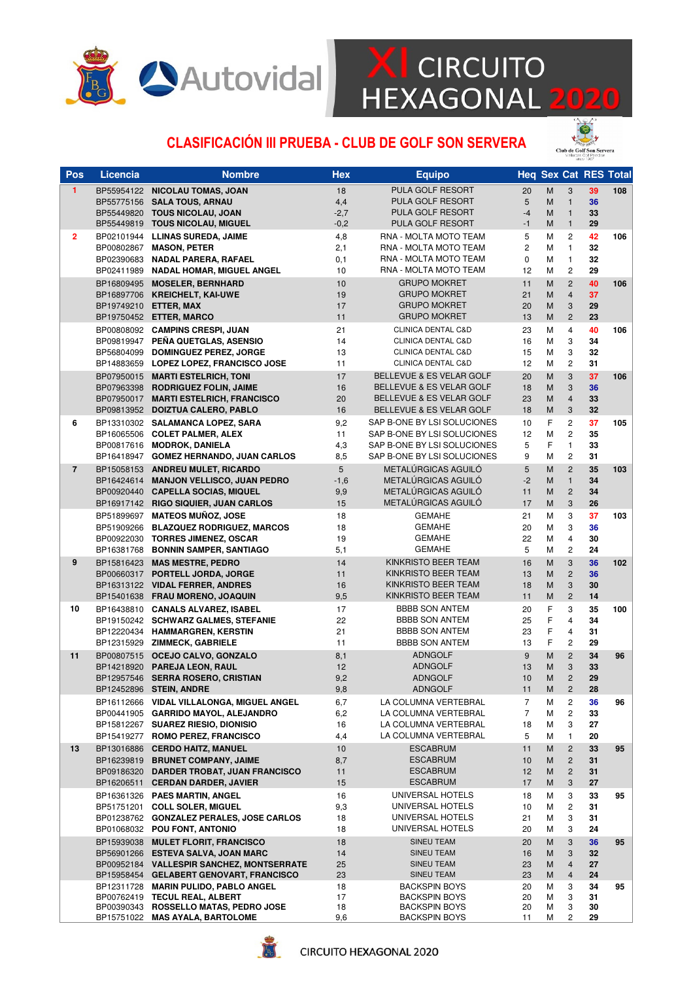

# **XI** CIRCUITO<br>HEXAGONAL 2020

#### CLASIFICACIÓN III PRUEBA - CLUB DE GOLF SON SERVERA



| <b>PULA GOLF RESORT</b><br>$\mathbf{1}$<br>BP55954122 NICOLAU TOMAS, JOAN<br>20<br>M<br>3<br>39<br>108<br>18<br>4,4<br>PULA GOLF RESORT<br>36<br>BP55775156 SALA TOUS, ARNAU<br>5<br>M<br>$\mathbf{1}$<br>$-4$<br>$\mathbf{1}$<br>BP55449820 TOUS NICOLAU, JOAN<br>$-2,7$<br>PULA GOLF RESORT<br>M<br>33<br>BP55449819 TOUS NICOLAU, MIGUEL<br>$-0,2$<br>PULA GOLF RESORT<br>$-1$<br>M<br>$\mathbf{1}$<br>29<br>RNA - MOLTA MOTO TEAM<br>$\overline{c}$<br>42<br>BP02101944 LLINAS SUREDA, JAIME<br>4,8<br>5<br>М<br>106<br>$\overline{2}$<br>2,1<br>2<br>$\mathbf{1}$<br>32<br>BP00802867 MASON, PETER<br>RNA - MOLTA MOTO TEAM<br>М<br>BP02390683 NADAL PARERA, RAFAEL<br>0,1<br>RNA - MOLTA MOTO TEAM<br>0<br>М<br>$\mathbf{1}$<br>32<br>RNA - MOLTA MOTO TEAM<br>$\mathbf{2}$<br>29<br>10<br>12<br>М<br>BP02411989 NADAL HOMAR, MIGUEL ANGEL<br><b>GRUPO MOKRET</b><br>40<br>BP16809495 MOSELER. BERNHARD<br>10<br>M<br>$\mathbf{2}$<br>106<br>11<br>37<br>BP16897706 KREICHELT, KAI-UWE<br>19<br>21<br>M<br>$\overline{4}$<br><b>GRUPO MOKRET</b><br>17<br>3<br>29<br>BP19749210 ETTER, MAX<br><b>GRUPO MOKRET</b><br>20<br>M<br>$\overline{2}$<br>23<br>BP19750452 ETTER, MARCO<br>11<br><b>GRUPO MOKRET</b><br>13<br>M<br>40<br>BP00808092 CAMPINS CRESPI, JUAN<br>21<br><b>CLINICA DENTAL C&amp;D</b><br>4<br>106<br>23<br>М<br>BP09819947 PEÑA QUETGLAS, ASENSIO<br>14<br>3<br>34<br>CLINICA DENTAL C&D<br>16<br>М<br>13<br>3<br>32<br>BP56804099 DOMINGUEZ PEREZ, JORGE<br>CLINICA DENTAL C&D<br>15<br>М<br>$\overline{c}$<br>11<br>12<br>М<br>31<br>BP14883659 LOPEZ LOPEZ, FRANCISCO JOSE<br>CLINICA DENTAL C&D<br>BELLEVUE & ES VELAR GOLF<br>M<br>3<br>37<br>BP07950015 MARTI ESTELRICH, TONI<br>17<br>20<br>106<br>3<br>36<br>BP07963398 RODRIGUEZ FOLIN, JAIME<br>16<br>BELLEVUE & ES VELAR GOLF<br>18<br>M<br>BP07950017 MARTI ESTELRICH, FRANCISCO<br>20<br>BELLEVUE & ES VELAR GOLF<br>23<br>M<br>$\overline{4}$<br>33<br>3<br>32<br>BP09813952 DOIZTUA CALERO, PABLO<br>16<br>BELLEVUE & ES VELAR GOLF<br>18<br>M<br>6<br>SAP B-ONE BY LSI SOLUCIONES<br>F<br>$\overline{c}$<br>37<br>BP13310302 SALAMANCA LOPEZ, SARA<br>9,2<br>105<br>10<br>SAP B-ONE BY LSI SOLUCIONES<br>$\overline{c}$<br>35<br>BP16065506 COLET PALMER, ALEX<br>11<br>12<br>М<br>F<br>$\mathbf{1}$<br>5<br>33<br>BP00817616 MODROK, DANIELA<br>4,3<br>SAP B-ONE BY LSI SOLUCIONES<br>BP16418947 GOMEZ HERNANDO, JUAN CARLOS<br>8,5<br>SAP B-ONE BY LSI SOLUCIONES<br>9<br>М<br>$\overline{c}$<br>31<br>5<br>METALÚRGICAS AGUILÓ<br>BP15058153 ANDREU MULET, RICARDO<br>5<br>$\overline{2}$<br>35<br>103<br>$\overline{7}$<br>M<br>METALÚRGICAS AGUILÓ<br>$-1,6$<br>$-2$<br>$\mathbf{1}$<br>34<br>BP16424614 MANJON VELLISCO, JUAN PEDRO<br>M<br>METALÚRGICAS AGUILÓ<br>$\overline{c}$<br>BP00920440 CAPELLA SOCIAS, MIQUEL<br>9,9<br>11<br>M<br>34<br>METALÚRGICAS AGUILÓ<br>3<br>26<br>BP16917142 RIGO SIQUIER, JUAN CARLOS<br>15<br>17<br>M<br>BP51899697 MATEOS MUÑOZ, JOSE<br><b>GEMAHE</b><br>37<br>18<br>21<br>М<br>3<br>103<br>3<br>BP51909266 BLAZQUEZ RODRIGUEZ, MARCOS<br>18<br><b>GEMAHE</b><br>М<br>36<br>20<br>$\overline{4}$<br>BP00922030 TORRES JIMENEZ, OSCAR<br>19<br><b>GEMAHE</b><br>22<br>М<br>30<br>5,1<br><b>GEMAHE</b><br>$\mathbf{2}$<br>BP16381768 BONNIN SAMPER, SANTIAGO<br>5<br>М<br>24<br>BP15816423 MAS MESTRE, PEDRO<br>14<br>KINKRISTO BEER TEAM<br>36<br>9<br>16<br>M<br>3<br>102<br>$\overline{c}$<br>36<br>BP00660317 PORTELL JORDA, JORGE<br>11<br>KINKRISTO BEER TEAM<br>13<br>M<br>16<br>3<br>30<br>BP16313122 VIDAL FERRER, ANDRES<br>KINKRISTO BEER TEAM<br>18<br>M<br>$\overline{c}$<br>9,5<br>KINKRISTO BEER TEAM<br>M<br>14<br>BP15401638 FRAU MORENO, JOAQUIN<br>11<br><b>BBBB SON ANTEM</b><br>F<br>10<br>BP16438810 CANALS ALVAREZ, ISABEL<br>17<br>3<br>35<br>100<br>20<br>F<br>22<br>$\overline{4}$<br>34<br>BP19150242 SCHWARZ GALMES, STEFANIE<br><b>BBBB SON ANTEM</b><br>25<br>F<br>$\overline{\mathbf{4}}$<br>BP12220434 HAMMARGREN, KERSTIN<br>21<br><b>BBBB SON ANTEM</b><br>23<br>31<br>F<br>$\overline{c}$<br>BP12315929 ZIMMECK, GABRIELE<br>11<br><b>BBBB SON ANTEM</b><br>13<br>29<br>11<br>BP00807515 OCEJO CALVO, GONZALO<br><b>ADNGOLF</b><br>M<br>$\overline{c}$<br>34<br>8,1<br>9<br>96<br>3<br>33<br>BP14218920 PAREJA LEON, RAUL<br>12<br><b>ADNGOLF</b><br>13<br>M<br>9,2<br>$\overline{2}$<br>29<br>BP12957546 SERRA ROSERO, CRISTIAN<br><b>ADNGOLF</b><br>10<br>M<br>BP12452896 STEIN, ANDRE<br>9,8<br><b>ADNGOLF</b><br>11<br>$\mathsf{M}% _{T}=\mathsf{M}_{T}\!\left( a,b\right) ,\ \mathsf{M}_{T}=\mathsf{M}_{T}\!\left( a,b\right) ,$<br>$\overline{c}$<br>28<br>7<br>BP16112666 VIDAL VILLALONGA, MIGUEL ANGEL<br>6,7<br>LA COLUMNA VERTEBRAL<br>2<br>36<br>96<br>М<br>BP00441905 GARRIDO MAYOL, ALEJANDRO<br>6,2<br>LA COLUMNA VERTEBRAL<br>2<br>33<br>7<br>М<br>16<br>LA COLUMNA VERTEBRAL<br>3<br>27<br>BP15812267 SUAREZ RIESIO, DIONISIO<br>18<br>М<br>4,4<br>LA COLUMNA VERTEBRAL<br>20<br>BP15419277 ROMO PEREZ, FRANCISCO<br>5<br>М<br>1<br>13<br>BP13016886 CERDO HAITZ, MANUEL<br>10<br><b>ESCABRUM</b><br>33<br>95<br>11<br>M<br>$\overline{c}$<br>8,7<br><b>ESCABRUM</b><br>$\overline{c}$<br>31<br>BP16239819 BRUNET COMPANY, JAIME<br>10<br>M<br><b>ESCABRUM</b><br>$\overline{c}$<br>31<br>BP09186320 DARDER TROBAT, JUAN FRANCISCO<br>11<br>12<br>M<br>15<br><b>ESCABRUM</b><br>27<br>BP16206511 CERDAN DARDER, JAVIER<br>17<br>М<br>3<br>UNIVERSAL HOTELS<br>33<br>BP16361326 PAES MARTIN, ANGEL<br>16<br>3<br>95<br>18<br>М<br>9,3<br>UNIVERSAL HOTELS<br>2<br>31<br>BP51751201 COLL SOLER, MIGUEL<br>10<br>М<br>BP01238762 GONZALEZ PERALES, JOSE CARLOS<br>UNIVERSAL HOTELS<br>3<br>18<br>21<br>М<br>31<br>UNIVERSAL HOTELS<br>3<br>24<br>BP01068032 POU FONT, ANTONIO<br>18<br>20<br>М<br>SINEU TEAM<br>36<br>BP15939038<br><b>MULET FLORIT, FRANCISCO</b><br>18<br>20<br>M<br>3<br>95<br>BP56901266 ESTEVA SALVA, JOAN MARC<br>14<br>SINEU TEAM<br>32<br>16<br>M<br>3<br>BP00952184 VALLESPIR SANCHEZ, MONTSERRATE<br>25<br>$\overline{4}$<br>27<br>SINEU TEAM<br>23<br>M<br>23<br>24<br>BP15958454 GELABERT GENOVART, FRANCISCO<br>SINEU TEAM<br>23<br>M<br>4<br>BP12311728 MARIN PULIDO, PABLO ANGEL<br><b>BACKSPIN BOYS</b><br>3<br>34<br>18<br>20<br>95<br>М<br>BP00762419 TECUL REAL, ALBERT<br>17<br>20<br>3<br>31<br><b>BACKSPIN BOYS</b><br>М<br>BP00390343 ROSSELLO MATAS, PEDRO JOSE<br>3<br>30<br>18<br><b>BACKSPIN BOYS</b><br>20<br>М | Pos | <b>Licencia</b> | <b>Nombre</b>                   | <b>Hex</b> | <b>Equipo</b> |    |   |   |    | <b>Heq Sex Cat RES Total</b> |
|------------------------------------------------------------------------------------------------------------------------------------------------------------------------------------------------------------------------------------------------------------------------------------------------------------------------------------------------------------------------------------------------------------------------------------------------------------------------------------------------------------------------------------------------------------------------------------------------------------------------------------------------------------------------------------------------------------------------------------------------------------------------------------------------------------------------------------------------------------------------------------------------------------------------------------------------------------------------------------------------------------------------------------------------------------------------------------------------------------------------------------------------------------------------------------------------------------------------------------------------------------------------------------------------------------------------------------------------------------------------------------------------------------------------------------------------------------------------------------------------------------------------------------------------------------------------------------------------------------------------------------------------------------------------------------------------------------------------------------------------------------------------------------------------------------------------------------------------------------------------------------------------------------------------------------------------------------------------------------------------------------------------------------------------------------------------------------------------------------------------------------------------------------------------------------------------------------------------------------------------------------------------------------------------------------------------------------------------------------------------------------------------------------------------------------------------------------------------------------------------------------------------------------------------------------------------------------------------------------------------------------------------------------------------------------------------------------------------------------------------------------------------------------------------------------------------------------------------------------------------------------------------------------------------------------------------------------------------------------------------------------------------------------------------------------------------------------------------------------------------------------------------------------------------------------------------------------------------------------------------------------------------------------------------------------------------------------------------------------------------------------------------------------------------------------------------------------------------------------------------------------------------------------------------------------------------------------------------------------------------------------------------------------------------------------------------------------------------------------------------------------------------------------------------------------------------------------------------------------------------------------------------------------------------------------------------------------------------------------------------------------------------------------------------------------------------------------------------------------------------------------------------------------------------------------------------------------------------------------------------------------------------------------------------------------------------------------------------------------------------------------------------------------------------------------------------------------------------------------------------------------------------------------------------------------------------------------------------------------------------------------------------------------------------------------------------------------------------------------------------------------------------------------------------------------------------------------------------------------------------------------------------------------------------------------------------------------------------------------------------------------------------------------------------------------------------------------------------------------------------------------------------------------------------------------------------------------------------------------------------------------------------------------------------------------------------------------------------------------------------------------------------------------------------------------------------------------------------------------------------------------------------------------------------------------------------------------------------------------------------------------------------------------------------------------------------------------------------------------------------------------------------------------------------------------------------------------------------------------------------------------------------------------------------------------------------------------------------------------------------------------------------------------------------------------------------------------------------------------------------------------------------------------------------------------------------------------------------------------------------------------------------------------------------------------------------------------------------------------------------------------------------------------------------------------------------|-----|-----------------|---------------------------------|------------|---------------|----|---|---|----|------------------------------|
|                                                                                                                                                                                                                                                                                                                                                                                                                                                                                                                                                                                                                                                                                                                                                                                                                                                                                                                                                                                                                                                                                                                                                                                                                                                                                                                                                                                                                                                                                                                                                                                                                                                                                                                                                                                                                                                                                                                                                                                                                                                                                                                                                                                                                                                                                                                                                                                                                                                                                                                                                                                                                                                                                                                                                                                                                                                                                                                                                                                                                                                                                                                                                                                                                                                                                                                                                                                                                                                                                                                                                                                                                                                                                                                                                                                                                                                                                                                                                                                                                                                                                                                                                                                                                                                                                                                                                                                                                                                                                                                                                                                                                                                                                                                                                                                                                                                                                                                                                                                                                                                                                                                                                                                                                                                                                                                                                                                                                                                                                                                                                                                                                                                                                                                                                                                                                                                                                                                                                                                                                                                                                                                                                                                                                                                                                                                                                                                                                                                |     |                 |                                 |            |               |    |   |   |    |                              |
|                                                                                                                                                                                                                                                                                                                                                                                                                                                                                                                                                                                                                                                                                                                                                                                                                                                                                                                                                                                                                                                                                                                                                                                                                                                                                                                                                                                                                                                                                                                                                                                                                                                                                                                                                                                                                                                                                                                                                                                                                                                                                                                                                                                                                                                                                                                                                                                                                                                                                                                                                                                                                                                                                                                                                                                                                                                                                                                                                                                                                                                                                                                                                                                                                                                                                                                                                                                                                                                                                                                                                                                                                                                                                                                                                                                                                                                                                                                                                                                                                                                                                                                                                                                                                                                                                                                                                                                                                                                                                                                                                                                                                                                                                                                                                                                                                                                                                                                                                                                                                                                                                                                                                                                                                                                                                                                                                                                                                                                                                                                                                                                                                                                                                                                                                                                                                                                                                                                                                                                                                                                                                                                                                                                                                                                                                                                                                                                                                                                |     |                 |                                 |            |               |    |   |   |    |                              |
|                                                                                                                                                                                                                                                                                                                                                                                                                                                                                                                                                                                                                                                                                                                                                                                                                                                                                                                                                                                                                                                                                                                                                                                                                                                                                                                                                                                                                                                                                                                                                                                                                                                                                                                                                                                                                                                                                                                                                                                                                                                                                                                                                                                                                                                                                                                                                                                                                                                                                                                                                                                                                                                                                                                                                                                                                                                                                                                                                                                                                                                                                                                                                                                                                                                                                                                                                                                                                                                                                                                                                                                                                                                                                                                                                                                                                                                                                                                                                                                                                                                                                                                                                                                                                                                                                                                                                                                                                                                                                                                                                                                                                                                                                                                                                                                                                                                                                                                                                                                                                                                                                                                                                                                                                                                                                                                                                                                                                                                                                                                                                                                                                                                                                                                                                                                                                                                                                                                                                                                                                                                                                                                                                                                                                                                                                                                                                                                                                                                |     |                 |                                 |            |               |    |   |   |    |                              |
|                                                                                                                                                                                                                                                                                                                                                                                                                                                                                                                                                                                                                                                                                                                                                                                                                                                                                                                                                                                                                                                                                                                                                                                                                                                                                                                                                                                                                                                                                                                                                                                                                                                                                                                                                                                                                                                                                                                                                                                                                                                                                                                                                                                                                                                                                                                                                                                                                                                                                                                                                                                                                                                                                                                                                                                                                                                                                                                                                                                                                                                                                                                                                                                                                                                                                                                                                                                                                                                                                                                                                                                                                                                                                                                                                                                                                                                                                                                                                                                                                                                                                                                                                                                                                                                                                                                                                                                                                                                                                                                                                                                                                                                                                                                                                                                                                                                                                                                                                                                                                                                                                                                                                                                                                                                                                                                                                                                                                                                                                                                                                                                                                                                                                                                                                                                                                                                                                                                                                                                                                                                                                                                                                                                                                                                                                                                                                                                                                                                |     |                 |                                 |            |               |    |   |   |    |                              |
|                                                                                                                                                                                                                                                                                                                                                                                                                                                                                                                                                                                                                                                                                                                                                                                                                                                                                                                                                                                                                                                                                                                                                                                                                                                                                                                                                                                                                                                                                                                                                                                                                                                                                                                                                                                                                                                                                                                                                                                                                                                                                                                                                                                                                                                                                                                                                                                                                                                                                                                                                                                                                                                                                                                                                                                                                                                                                                                                                                                                                                                                                                                                                                                                                                                                                                                                                                                                                                                                                                                                                                                                                                                                                                                                                                                                                                                                                                                                                                                                                                                                                                                                                                                                                                                                                                                                                                                                                                                                                                                                                                                                                                                                                                                                                                                                                                                                                                                                                                                                                                                                                                                                                                                                                                                                                                                                                                                                                                                                                                                                                                                                                                                                                                                                                                                                                                                                                                                                                                                                                                                                                                                                                                                                                                                                                                                                                                                                                                                |     |                 |                                 |            |               |    |   |   |    |                              |
|                                                                                                                                                                                                                                                                                                                                                                                                                                                                                                                                                                                                                                                                                                                                                                                                                                                                                                                                                                                                                                                                                                                                                                                                                                                                                                                                                                                                                                                                                                                                                                                                                                                                                                                                                                                                                                                                                                                                                                                                                                                                                                                                                                                                                                                                                                                                                                                                                                                                                                                                                                                                                                                                                                                                                                                                                                                                                                                                                                                                                                                                                                                                                                                                                                                                                                                                                                                                                                                                                                                                                                                                                                                                                                                                                                                                                                                                                                                                                                                                                                                                                                                                                                                                                                                                                                                                                                                                                                                                                                                                                                                                                                                                                                                                                                                                                                                                                                                                                                                                                                                                                                                                                                                                                                                                                                                                                                                                                                                                                                                                                                                                                                                                                                                                                                                                                                                                                                                                                                                                                                                                                                                                                                                                                                                                                                                                                                                                                                                |     |                 |                                 |            |               |    |   |   |    |                              |
|                                                                                                                                                                                                                                                                                                                                                                                                                                                                                                                                                                                                                                                                                                                                                                                                                                                                                                                                                                                                                                                                                                                                                                                                                                                                                                                                                                                                                                                                                                                                                                                                                                                                                                                                                                                                                                                                                                                                                                                                                                                                                                                                                                                                                                                                                                                                                                                                                                                                                                                                                                                                                                                                                                                                                                                                                                                                                                                                                                                                                                                                                                                                                                                                                                                                                                                                                                                                                                                                                                                                                                                                                                                                                                                                                                                                                                                                                                                                                                                                                                                                                                                                                                                                                                                                                                                                                                                                                                                                                                                                                                                                                                                                                                                                                                                                                                                                                                                                                                                                                                                                                                                                                                                                                                                                                                                                                                                                                                                                                                                                                                                                                                                                                                                                                                                                                                                                                                                                                                                                                                                                                                                                                                                                                                                                                                                                                                                                                                                |     |                 |                                 |            |               |    |   |   |    |                              |
|                                                                                                                                                                                                                                                                                                                                                                                                                                                                                                                                                                                                                                                                                                                                                                                                                                                                                                                                                                                                                                                                                                                                                                                                                                                                                                                                                                                                                                                                                                                                                                                                                                                                                                                                                                                                                                                                                                                                                                                                                                                                                                                                                                                                                                                                                                                                                                                                                                                                                                                                                                                                                                                                                                                                                                                                                                                                                                                                                                                                                                                                                                                                                                                                                                                                                                                                                                                                                                                                                                                                                                                                                                                                                                                                                                                                                                                                                                                                                                                                                                                                                                                                                                                                                                                                                                                                                                                                                                                                                                                                                                                                                                                                                                                                                                                                                                                                                                                                                                                                                                                                                                                                                                                                                                                                                                                                                                                                                                                                                                                                                                                                                                                                                                                                                                                                                                                                                                                                                                                                                                                                                                                                                                                                                                                                                                                                                                                                                                                |     |                 |                                 |            |               |    |   |   |    |                              |
|                                                                                                                                                                                                                                                                                                                                                                                                                                                                                                                                                                                                                                                                                                                                                                                                                                                                                                                                                                                                                                                                                                                                                                                                                                                                                                                                                                                                                                                                                                                                                                                                                                                                                                                                                                                                                                                                                                                                                                                                                                                                                                                                                                                                                                                                                                                                                                                                                                                                                                                                                                                                                                                                                                                                                                                                                                                                                                                                                                                                                                                                                                                                                                                                                                                                                                                                                                                                                                                                                                                                                                                                                                                                                                                                                                                                                                                                                                                                                                                                                                                                                                                                                                                                                                                                                                                                                                                                                                                                                                                                                                                                                                                                                                                                                                                                                                                                                                                                                                                                                                                                                                                                                                                                                                                                                                                                                                                                                                                                                                                                                                                                                                                                                                                                                                                                                                                                                                                                                                                                                                                                                                                                                                                                                                                                                                                                                                                                                                                |     |                 |                                 |            |               |    |   |   |    |                              |
|                                                                                                                                                                                                                                                                                                                                                                                                                                                                                                                                                                                                                                                                                                                                                                                                                                                                                                                                                                                                                                                                                                                                                                                                                                                                                                                                                                                                                                                                                                                                                                                                                                                                                                                                                                                                                                                                                                                                                                                                                                                                                                                                                                                                                                                                                                                                                                                                                                                                                                                                                                                                                                                                                                                                                                                                                                                                                                                                                                                                                                                                                                                                                                                                                                                                                                                                                                                                                                                                                                                                                                                                                                                                                                                                                                                                                                                                                                                                                                                                                                                                                                                                                                                                                                                                                                                                                                                                                                                                                                                                                                                                                                                                                                                                                                                                                                                                                                                                                                                                                                                                                                                                                                                                                                                                                                                                                                                                                                                                                                                                                                                                                                                                                                                                                                                                                                                                                                                                                                                                                                                                                                                                                                                                                                                                                                                                                                                                                                                |     |                 |                                 |            |               |    |   |   |    |                              |
|                                                                                                                                                                                                                                                                                                                                                                                                                                                                                                                                                                                                                                                                                                                                                                                                                                                                                                                                                                                                                                                                                                                                                                                                                                                                                                                                                                                                                                                                                                                                                                                                                                                                                                                                                                                                                                                                                                                                                                                                                                                                                                                                                                                                                                                                                                                                                                                                                                                                                                                                                                                                                                                                                                                                                                                                                                                                                                                                                                                                                                                                                                                                                                                                                                                                                                                                                                                                                                                                                                                                                                                                                                                                                                                                                                                                                                                                                                                                                                                                                                                                                                                                                                                                                                                                                                                                                                                                                                                                                                                                                                                                                                                                                                                                                                                                                                                                                                                                                                                                                                                                                                                                                                                                                                                                                                                                                                                                                                                                                                                                                                                                                                                                                                                                                                                                                                                                                                                                                                                                                                                                                                                                                                                                                                                                                                                                                                                                                                                |     |                 |                                 |            |               |    |   |   |    |                              |
|                                                                                                                                                                                                                                                                                                                                                                                                                                                                                                                                                                                                                                                                                                                                                                                                                                                                                                                                                                                                                                                                                                                                                                                                                                                                                                                                                                                                                                                                                                                                                                                                                                                                                                                                                                                                                                                                                                                                                                                                                                                                                                                                                                                                                                                                                                                                                                                                                                                                                                                                                                                                                                                                                                                                                                                                                                                                                                                                                                                                                                                                                                                                                                                                                                                                                                                                                                                                                                                                                                                                                                                                                                                                                                                                                                                                                                                                                                                                                                                                                                                                                                                                                                                                                                                                                                                                                                                                                                                                                                                                                                                                                                                                                                                                                                                                                                                                                                                                                                                                                                                                                                                                                                                                                                                                                                                                                                                                                                                                                                                                                                                                                                                                                                                                                                                                                                                                                                                                                                                                                                                                                                                                                                                                                                                                                                                                                                                                                                                |     |                 |                                 |            |               |    |   |   |    |                              |
|                                                                                                                                                                                                                                                                                                                                                                                                                                                                                                                                                                                                                                                                                                                                                                                                                                                                                                                                                                                                                                                                                                                                                                                                                                                                                                                                                                                                                                                                                                                                                                                                                                                                                                                                                                                                                                                                                                                                                                                                                                                                                                                                                                                                                                                                                                                                                                                                                                                                                                                                                                                                                                                                                                                                                                                                                                                                                                                                                                                                                                                                                                                                                                                                                                                                                                                                                                                                                                                                                                                                                                                                                                                                                                                                                                                                                                                                                                                                                                                                                                                                                                                                                                                                                                                                                                                                                                                                                                                                                                                                                                                                                                                                                                                                                                                                                                                                                                                                                                                                                                                                                                                                                                                                                                                                                                                                                                                                                                                                                                                                                                                                                                                                                                                                                                                                                                                                                                                                                                                                                                                                                                                                                                                                                                                                                                                                                                                                                                                |     |                 |                                 |            |               |    |   |   |    |                              |
|                                                                                                                                                                                                                                                                                                                                                                                                                                                                                                                                                                                                                                                                                                                                                                                                                                                                                                                                                                                                                                                                                                                                                                                                                                                                                                                                                                                                                                                                                                                                                                                                                                                                                                                                                                                                                                                                                                                                                                                                                                                                                                                                                                                                                                                                                                                                                                                                                                                                                                                                                                                                                                                                                                                                                                                                                                                                                                                                                                                                                                                                                                                                                                                                                                                                                                                                                                                                                                                                                                                                                                                                                                                                                                                                                                                                                                                                                                                                                                                                                                                                                                                                                                                                                                                                                                                                                                                                                                                                                                                                                                                                                                                                                                                                                                                                                                                                                                                                                                                                                                                                                                                                                                                                                                                                                                                                                                                                                                                                                                                                                                                                                                                                                                                                                                                                                                                                                                                                                                                                                                                                                                                                                                                                                                                                                                                                                                                                                                                |     |                 |                                 |            |               |    |   |   |    |                              |
|                                                                                                                                                                                                                                                                                                                                                                                                                                                                                                                                                                                                                                                                                                                                                                                                                                                                                                                                                                                                                                                                                                                                                                                                                                                                                                                                                                                                                                                                                                                                                                                                                                                                                                                                                                                                                                                                                                                                                                                                                                                                                                                                                                                                                                                                                                                                                                                                                                                                                                                                                                                                                                                                                                                                                                                                                                                                                                                                                                                                                                                                                                                                                                                                                                                                                                                                                                                                                                                                                                                                                                                                                                                                                                                                                                                                                                                                                                                                                                                                                                                                                                                                                                                                                                                                                                                                                                                                                                                                                                                                                                                                                                                                                                                                                                                                                                                                                                                                                                                                                                                                                                                                                                                                                                                                                                                                                                                                                                                                                                                                                                                                                                                                                                                                                                                                                                                                                                                                                                                                                                                                                                                                                                                                                                                                                                                                                                                                                                                |     |                 |                                 |            |               |    |   |   |    |                              |
|                                                                                                                                                                                                                                                                                                                                                                                                                                                                                                                                                                                                                                                                                                                                                                                                                                                                                                                                                                                                                                                                                                                                                                                                                                                                                                                                                                                                                                                                                                                                                                                                                                                                                                                                                                                                                                                                                                                                                                                                                                                                                                                                                                                                                                                                                                                                                                                                                                                                                                                                                                                                                                                                                                                                                                                                                                                                                                                                                                                                                                                                                                                                                                                                                                                                                                                                                                                                                                                                                                                                                                                                                                                                                                                                                                                                                                                                                                                                                                                                                                                                                                                                                                                                                                                                                                                                                                                                                                                                                                                                                                                                                                                                                                                                                                                                                                                                                                                                                                                                                                                                                                                                                                                                                                                                                                                                                                                                                                                                                                                                                                                                                                                                                                                                                                                                                                                                                                                                                                                                                                                                                                                                                                                                                                                                                                                                                                                                                                                |     |                 |                                 |            |               |    |   |   |    |                              |
|                                                                                                                                                                                                                                                                                                                                                                                                                                                                                                                                                                                                                                                                                                                                                                                                                                                                                                                                                                                                                                                                                                                                                                                                                                                                                                                                                                                                                                                                                                                                                                                                                                                                                                                                                                                                                                                                                                                                                                                                                                                                                                                                                                                                                                                                                                                                                                                                                                                                                                                                                                                                                                                                                                                                                                                                                                                                                                                                                                                                                                                                                                                                                                                                                                                                                                                                                                                                                                                                                                                                                                                                                                                                                                                                                                                                                                                                                                                                                                                                                                                                                                                                                                                                                                                                                                                                                                                                                                                                                                                                                                                                                                                                                                                                                                                                                                                                                                                                                                                                                                                                                                                                                                                                                                                                                                                                                                                                                                                                                                                                                                                                                                                                                                                                                                                                                                                                                                                                                                                                                                                                                                                                                                                                                                                                                                                                                                                                                                                |     |                 |                                 |            |               |    |   |   |    |                              |
|                                                                                                                                                                                                                                                                                                                                                                                                                                                                                                                                                                                                                                                                                                                                                                                                                                                                                                                                                                                                                                                                                                                                                                                                                                                                                                                                                                                                                                                                                                                                                                                                                                                                                                                                                                                                                                                                                                                                                                                                                                                                                                                                                                                                                                                                                                                                                                                                                                                                                                                                                                                                                                                                                                                                                                                                                                                                                                                                                                                                                                                                                                                                                                                                                                                                                                                                                                                                                                                                                                                                                                                                                                                                                                                                                                                                                                                                                                                                                                                                                                                                                                                                                                                                                                                                                                                                                                                                                                                                                                                                                                                                                                                                                                                                                                                                                                                                                                                                                                                                                                                                                                                                                                                                                                                                                                                                                                                                                                                                                                                                                                                                                                                                                                                                                                                                                                                                                                                                                                                                                                                                                                                                                                                                                                                                                                                                                                                                                                                |     |                 |                                 |            |               |    |   |   |    |                              |
|                                                                                                                                                                                                                                                                                                                                                                                                                                                                                                                                                                                                                                                                                                                                                                                                                                                                                                                                                                                                                                                                                                                                                                                                                                                                                                                                                                                                                                                                                                                                                                                                                                                                                                                                                                                                                                                                                                                                                                                                                                                                                                                                                                                                                                                                                                                                                                                                                                                                                                                                                                                                                                                                                                                                                                                                                                                                                                                                                                                                                                                                                                                                                                                                                                                                                                                                                                                                                                                                                                                                                                                                                                                                                                                                                                                                                                                                                                                                                                                                                                                                                                                                                                                                                                                                                                                                                                                                                                                                                                                                                                                                                                                                                                                                                                                                                                                                                                                                                                                                                                                                                                                                                                                                                                                                                                                                                                                                                                                                                                                                                                                                                                                                                                                                                                                                                                                                                                                                                                                                                                                                                                                                                                                                                                                                                                                                                                                                                                                |     |                 |                                 |            |               |    |   |   |    |                              |
|                                                                                                                                                                                                                                                                                                                                                                                                                                                                                                                                                                                                                                                                                                                                                                                                                                                                                                                                                                                                                                                                                                                                                                                                                                                                                                                                                                                                                                                                                                                                                                                                                                                                                                                                                                                                                                                                                                                                                                                                                                                                                                                                                                                                                                                                                                                                                                                                                                                                                                                                                                                                                                                                                                                                                                                                                                                                                                                                                                                                                                                                                                                                                                                                                                                                                                                                                                                                                                                                                                                                                                                                                                                                                                                                                                                                                                                                                                                                                                                                                                                                                                                                                                                                                                                                                                                                                                                                                                                                                                                                                                                                                                                                                                                                                                                                                                                                                                                                                                                                                                                                                                                                                                                                                                                                                                                                                                                                                                                                                                                                                                                                                                                                                                                                                                                                                                                                                                                                                                                                                                                                                                                                                                                                                                                                                                                                                                                                                                                |     |                 |                                 |            |               |    |   |   |    |                              |
|                                                                                                                                                                                                                                                                                                                                                                                                                                                                                                                                                                                                                                                                                                                                                                                                                                                                                                                                                                                                                                                                                                                                                                                                                                                                                                                                                                                                                                                                                                                                                                                                                                                                                                                                                                                                                                                                                                                                                                                                                                                                                                                                                                                                                                                                                                                                                                                                                                                                                                                                                                                                                                                                                                                                                                                                                                                                                                                                                                                                                                                                                                                                                                                                                                                                                                                                                                                                                                                                                                                                                                                                                                                                                                                                                                                                                                                                                                                                                                                                                                                                                                                                                                                                                                                                                                                                                                                                                                                                                                                                                                                                                                                                                                                                                                                                                                                                                                                                                                                                                                                                                                                                                                                                                                                                                                                                                                                                                                                                                                                                                                                                                                                                                                                                                                                                                                                                                                                                                                                                                                                                                                                                                                                                                                                                                                                                                                                                                                                |     |                 |                                 |            |               |    |   |   |    |                              |
|                                                                                                                                                                                                                                                                                                                                                                                                                                                                                                                                                                                                                                                                                                                                                                                                                                                                                                                                                                                                                                                                                                                                                                                                                                                                                                                                                                                                                                                                                                                                                                                                                                                                                                                                                                                                                                                                                                                                                                                                                                                                                                                                                                                                                                                                                                                                                                                                                                                                                                                                                                                                                                                                                                                                                                                                                                                                                                                                                                                                                                                                                                                                                                                                                                                                                                                                                                                                                                                                                                                                                                                                                                                                                                                                                                                                                                                                                                                                                                                                                                                                                                                                                                                                                                                                                                                                                                                                                                                                                                                                                                                                                                                                                                                                                                                                                                                                                                                                                                                                                                                                                                                                                                                                                                                                                                                                                                                                                                                                                                                                                                                                                                                                                                                                                                                                                                                                                                                                                                                                                                                                                                                                                                                                                                                                                                                                                                                                                                                |     |                 |                                 |            |               |    |   |   |    |                              |
|                                                                                                                                                                                                                                                                                                                                                                                                                                                                                                                                                                                                                                                                                                                                                                                                                                                                                                                                                                                                                                                                                                                                                                                                                                                                                                                                                                                                                                                                                                                                                                                                                                                                                                                                                                                                                                                                                                                                                                                                                                                                                                                                                                                                                                                                                                                                                                                                                                                                                                                                                                                                                                                                                                                                                                                                                                                                                                                                                                                                                                                                                                                                                                                                                                                                                                                                                                                                                                                                                                                                                                                                                                                                                                                                                                                                                                                                                                                                                                                                                                                                                                                                                                                                                                                                                                                                                                                                                                                                                                                                                                                                                                                                                                                                                                                                                                                                                                                                                                                                                                                                                                                                                                                                                                                                                                                                                                                                                                                                                                                                                                                                                                                                                                                                                                                                                                                                                                                                                                                                                                                                                                                                                                                                                                                                                                                                                                                                                                                |     |                 |                                 |            |               |    |   |   |    |                              |
|                                                                                                                                                                                                                                                                                                                                                                                                                                                                                                                                                                                                                                                                                                                                                                                                                                                                                                                                                                                                                                                                                                                                                                                                                                                                                                                                                                                                                                                                                                                                                                                                                                                                                                                                                                                                                                                                                                                                                                                                                                                                                                                                                                                                                                                                                                                                                                                                                                                                                                                                                                                                                                                                                                                                                                                                                                                                                                                                                                                                                                                                                                                                                                                                                                                                                                                                                                                                                                                                                                                                                                                                                                                                                                                                                                                                                                                                                                                                                                                                                                                                                                                                                                                                                                                                                                                                                                                                                                                                                                                                                                                                                                                                                                                                                                                                                                                                                                                                                                                                                                                                                                                                                                                                                                                                                                                                                                                                                                                                                                                                                                                                                                                                                                                                                                                                                                                                                                                                                                                                                                                                                                                                                                                                                                                                                                                                                                                                                                                |     |                 |                                 |            |               |    |   |   |    |                              |
|                                                                                                                                                                                                                                                                                                                                                                                                                                                                                                                                                                                                                                                                                                                                                                                                                                                                                                                                                                                                                                                                                                                                                                                                                                                                                                                                                                                                                                                                                                                                                                                                                                                                                                                                                                                                                                                                                                                                                                                                                                                                                                                                                                                                                                                                                                                                                                                                                                                                                                                                                                                                                                                                                                                                                                                                                                                                                                                                                                                                                                                                                                                                                                                                                                                                                                                                                                                                                                                                                                                                                                                                                                                                                                                                                                                                                                                                                                                                                                                                                                                                                                                                                                                                                                                                                                                                                                                                                                                                                                                                                                                                                                                                                                                                                                                                                                                                                                                                                                                                                                                                                                                                                                                                                                                                                                                                                                                                                                                                                                                                                                                                                                                                                                                                                                                                                                                                                                                                                                                                                                                                                                                                                                                                                                                                                                                                                                                                                                                |     |                 |                                 |            |               |    |   |   |    |                              |
|                                                                                                                                                                                                                                                                                                                                                                                                                                                                                                                                                                                                                                                                                                                                                                                                                                                                                                                                                                                                                                                                                                                                                                                                                                                                                                                                                                                                                                                                                                                                                                                                                                                                                                                                                                                                                                                                                                                                                                                                                                                                                                                                                                                                                                                                                                                                                                                                                                                                                                                                                                                                                                                                                                                                                                                                                                                                                                                                                                                                                                                                                                                                                                                                                                                                                                                                                                                                                                                                                                                                                                                                                                                                                                                                                                                                                                                                                                                                                                                                                                                                                                                                                                                                                                                                                                                                                                                                                                                                                                                                                                                                                                                                                                                                                                                                                                                                                                                                                                                                                                                                                                                                                                                                                                                                                                                                                                                                                                                                                                                                                                                                                                                                                                                                                                                                                                                                                                                                                                                                                                                                                                                                                                                                                                                                                                                                                                                                                                                |     |                 |                                 |            |               |    |   |   |    |                              |
|                                                                                                                                                                                                                                                                                                                                                                                                                                                                                                                                                                                                                                                                                                                                                                                                                                                                                                                                                                                                                                                                                                                                                                                                                                                                                                                                                                                                                                                                                                                                                                                                                                                                                                                                                                                                                                                                                                                                                                                                                                                                                                                                                                                                                                                                                                                                                                                                                                                                                                                                                                                                                                                                                                                                                                                                                                                                                                                                                                                                                                                                                                                                                                                                                                                                                                                                                                                                                                                                                                                                                                                                                                                                                                                                                                                                                                                                                                                                                                                                                                                                                                                                                                                                                                                                                                                                                                                                                                                                                                                                                                                                                                                                                                                                                                                                                                                                                                                                                                                                                                                                                                                                                                                                                                                                                                                                                                                                                                                                                                                                                                                                                                                                                                                                                                                                                                                                                                                                                                                                                                                                                                                                                                                                                                                                                                                                                                                                                                                |     |                 |                                 |            |               |    |   |   |    |                              |
|                                                                                                                                                                                                                                                                                                                                                                                                                                                                                                                                                                                                                                                                                                                                                                                                                                                                                                                                                                                                                                                                                                                                                                                                                                                                                                                                                                                                                                                                                                                                                                                                                                                                                                                                                                                                                                                                                                                                                                                                                                                                                                                                                                                                                                                                                                                                                                                                                                                                                                                                                                                                                                                                                                                                                                                                                                                                                                                                                                                                                                                                                                                                                                                                                                                                                                                                                                                                                                                                                                                                                                                                                                                                                                                                                                                                                                                                                                                                                                                                                                                                                                                                                                                                                                                                                                                                                                                                                                                                                                                                                                                                                                                                                                                                                                                                                                                                                                                                                                                                                                                                                                                                                                                                                                                                                                                                                                                                                                                                                                                                                                                                                                                                                                                                                                                                                                                                                                                                                                                                                                                                                                                                                                                                                                                                                                                                                                                                                                                |     |                 |                                 |            |               |    |   |   |    |                              |
|                                                                                                                                                                                                                                                                                                                                                                                                                                                                                                                                                                                                                                                                                                                                                                                                                                                                                                                                                                                                                                                                                                                                                                                                                                                                                                                                                                                                                                                                                                                                                                                                                                                                                                                                                                                                                                                                                                                                                                                                                                                                                                                                                                                                                                                                                                                                                                                                                                                                                                                                                                                                                                                                                                                                                                                                                                                                                                                                                                                                                                                                                                                                                                                                                                                                                                                                                                                                                                                                                                                                                                                                                                                                                                                                                                                                                                                                                                                                                                                                                                                                                                                                                                                                                                                                                                                                                                                                                                                                                                                                                                                                                                                                                                                                                                                                                                                                                                                                                                                                                                                                                                                                                                                                                                                                                                                                                                                                                                                                                                                                                                                                                                                                                                                                                                                                                                                                                                                                                                                                                                                                                                                                                                                                                                                                                                                                                                                                                                                |     |                 |                                 |            |               |    |   |   |    |                              |
|                                                                                                                                                                                                                                                                                                                                                                                                                                                                                                                                                                                                                                                                                                                                                                                                                                                                                                                                                                                                                                                                                                                                                                                                                                                                                                                                                                                                                                                                                                                                                                                                                                                                                                                                                                                                                                                                                                                                                                                                                                                                                                                                                                                                                                                                                                                                                                                                                                                                                                                                                                                                                                                                                                                                                                                                                                                                                                                                                                                                                                                                                                                                                                                                                                                                                                                                                                                                                                                                                                                                                                                                                                                                                                                                                                                                                                                                                                                                                                                                                                                                                                                                                                                                                                                                                                                                                                                                                                                                                                                                                                                                                                                                                                                                                                                                                                                                                                                                                                                                                                                                                                                                                                                                                                                                                                                                                                                                                                                                                                                                                                                                                                                                                                                                                                                                                                                                                                                                                                                                                                                                                                                                                                                                                                                                                                                                                                                                                                                |     |                 |                                 |            |               |    |   |   |    |                              |
|                                                                                                                                                                                                                                                                                                                                                                                                                                                                                                                                                                                                                                                                                                                                                                                                                                                                                                                                                                                                                                                                                                                                                                                                                                                                                                                                                                                                                                                                                                                                                                                                                                                                                                                                                                                                                                                                                                                                                                                                                                                                                                                                                                                                                                                                                                                                                                                                                                                                                                                                                                                                                                                                                                                                                                                                                                                                                                                                                                                                                                                                                                                                                                                                                                                                                                                                                                                                                                                                                                                                                                                                                                                                                                                                                                                                                                                                                                                                                                                                                                                                                                                                                                                                                                                                                                                                                                                                                                                                                                                                                                                                                                                                                                                                                                                                                                                                                                                                                                                                                                                                                                                                                                                                                                                                                                                                                                                                                                                                                                                                                                                                                                                                                                                                                                                                                                                                                                                                                                                                                                                                                                                                                                                                                                                                                                                                                                                                                                                |     |                 |                                 |            |               |    |   |   |    |                              |
|                                                                                                                                                                                                                                                                                                                                                                                                                                                                                                                                                                                                                                                                                                                                                                                                                                                                                                                                                                                                                                                                                                                                                                                                                                                                                                                                                                                                                                                                                                                                                                                                                                                                                                                                                                                                                                                                                                                                                                                                                                                                                                                                                                                                                                                                                                                                                                                                                                                                                                                                                                                                                                                                                                                                                                                                                                                                                                                                                                                                                                                                                                                                                                                                                                                                                                                                                                                                                                                                                                                                                                                                                                                                                                                                                                                                                                                                                                                                                                                                                                                                                                                                                                                                                                                                                                                                                                                                                                                                                                                                                                                                                                                                                                                                                                                                                                                                                                                                                                                                                                                                                                                                                                                                                                                                                                                                                                                                                                                                                                                                                                                                                                                                                                                                                                                                                                                                                                                                                                                                                                                                                                                                                                                                                                                                                                                                                                                                                                                |     |                 |                                 |            |               |    |   |   |    |                              |
|                                                                                                                                                                                                                                                                                                                                                                                                                                                                                                                                                                                                                                                                                                                                                                                                                                                                                                                                                                                                                                                                                                                                                                                                                                                                                                                                                                                                                                                                                                                                                                                                                                                                                                                                                                                                                                                                                                                                                                                                                                                                                                                                                                                                                                                                                                                                                                                                                                                                                                                                                                                                                                                                                                                                                                                                                                                                                                                                                                                                                                                                                                                                                                                                                                                                                                                                                                                                                                                                                                                                                                                                                                                                                                                                                                                                                                                                                                                                                                                                                                                                                                                                                                                                                                                                                                                                                                                                                                                                                                                                                                                                                                                                                                                                                                                                                                                                                                                                                                                                                                                                                                                                                                                                                                                                                                                                                                                                                                                                                                                                                                                                                                                                                                                                                                                                                                                                                                                                                                                                                                                                                                                                                                                                                                                                                                                                                                                                                                                |     |                 |                                 |            |               |    |   |   |    |                              |
|                                                                                                                                                                                                                                                                                                                                                                                                                                                                                                                                                                                                                                                                                                                                                                                                                                                                                                                                                                                                                                                                                                                                                                                                                                                                                                                                                                                                                                                                                                                                                                                                                                                                                                                                                                                                                                                                                                                                                                                                                                                                                                                                                                                                                                                                                                                                                                                                                                                                                                                                                                                                                                                                                                                                                                                                                                                                                                                                                                                                                                                                                                                                                                                                                                                                                                                                                                                                                                                                                                                                                                                                                                                                                                                                                                                                                                                                                                                                                                                                                                                                                                                                                                                                                                                                                                                                                                                                                                                                                                                                                                                                                                                                                                                                                                                                                                                                                                                                                                                                                                                                                                                                                                                                                                                                                                                                                                                                                                                                                                                                                                                                                                                                                                                                                                                                                                                                                                                                                                                                                                                                                                                                                                                                                                                                                                                                                                                                                                                |     |                 |                                 |            |               |    |   |   |    |                              |
|                                                                                                                                                                                                                                                                                                                                                                                                                                                                                                                                                                                                                                                                                                                                                                                                                                                                                                                                                                                                                                                                                                                                                                                                                                                                                                                                                                                                                                                                                                                                                                                                                                                                                                                                                                                                                                                                                                                                                                                                                                                                                                                                                                                                                                                                                                                                                                                                                                                                                                                                                                                                                                                                                                                                                                                                                                                                                                                                                                                                                                                                                                                                                                                                                                                                                                                                                                                                                                                                                                                                                                                                                                                                                                                                                                                                                                                                                                                                                                                                                                                                                                                                                                                                                                                                                                                                                                                                                                                                                                                                                                                                                                                                                                                                                                                                                                                                                                                                                                                                                                                                                                                                                                                                                                                                                                                                                                                                                                                                                                                                                                                                                                                                                                                                                                                                                                                                                                                                                                                                                                                                                                                                                                                                                                                                                                                                                                                                                                                |     |                 |                                 |            |               |    |   |   |    |                              |
|                                                                                                                                                                                                                                                                                                                                                                                                                                                                                                                                                                                                                                                                                                                                                                                                                                                                                                                                                                                                                                                                                                                                                                                                                                                                                                                                                                                                                                                                                                                                                                                                                                                                                                                                                                                                                                                                                                                                                                                                                                                                                                                                                                                                                                                                                                                                                                                                                                                                                                                                                                                                                                                                                                                                                                                                                                                                                                                                                                                                                                                                                                                                                                                                                                                                                                                                                                                                                                                                                                                                                                                                                                                                                                                                                                                                                                                                                                                                                                                                                                                                                                                                                                                                                                                                                                                                                                                                                                                                                                                                                                                                                                                                                                                                                                                                                                                                                                                                                                                                                                                                                                                                                                                                                                                                                                                                                                                                                                                                                                                                                                                                                                                                                                                                                                                                                                                                                                                                                                                                                                                                                                                                                                                                                                                                                                                                                                                                                                                |     |                 |                                 |            |               |    |   |   |    |                              |
|                                                                                                                                                                                                                                                                                                                                                                                                                                                                                                                                                                                                                                                                                                                                                                                                                                                                                                                                                                                                                                                                                                                                                                                                                                                                                                                                                                                                                                                                                                                                                                                                                                                                                                                                                                                                                                                                                                                                                                                                                                                                                                                                                                                                                                                                                                                                                                                                                                                                                                                                                                                                                                                                                                                                                                                                                                                                                                                                                                                                                                                                                                                                                                                                                                                                                                                                                                                                                                                                                                                                                                                                                                                                                                                                                                                                                                                                                                                                                                                                                                                                                                                                                                                                                                                                                                                                                                                                                                                                                                                                                                                                                                                                                                                                                                                                                                                                                                                                                                                                                                                                                                                                                                                                                                                                                                                                                                                                                                                                                                                                                                                                                                                                                                                                                                                                                                                                                                                                                                                                                                                                                                                                                                                                                                                                                                                                                                                                                                                |     |                 |                                 |            |               |    |   |   |    |                              |
|                                                                                                                                                                                                                                                                                                                                                                                                                                                                                                                                                                                                                                                                                                                                                                                                                                                                                                                                                                                                                                                                                                                                                                                                                                                                                                                                                                                                                                                                                                                                                                                                                                                                                                                                                                                                                                                                                                                                                                                                                                                                                                                                                                                                                                                                                                                                                                                                                                                                                                                                                                                                                                                                                                                                                                                                                                                                                                                                                                                                                                                                                                                                                                                                                                                                                                                                                                                                                                                                                                                                                                                                                                                                                                                                                                                                                                                                                                                                                                                                                                                                                                                                                                                                                                                                                                                                                                                                                                                                                                                                                                                                                                                                                                                                                                                                                                                                                                                                                                                                                                                                                                                                                                                                                                                                                                                                                                                                                                                                                                                                                                                                                                                                                                                                                                                                                                                                                                                                                                                                                                                                                                                                                                                                                                                                                                                                                                                                                                                |     |                 |                                 |            |               |    |   |   |    |                              |
|                                                                                                                                                                                                                                                                                                                                                                                                                                                                                                                                                                                                                                                                                                                                                                                                                                                                                                                                                                                                                                                                                                                                                                                                                                                                                                                                                                                                                                                                                                                                                                                                                                                                                                                                                                                                                                                                                                                                                                                                                                                                                                                                                                                                                                                                                                                                                                                                                                                                                                                                                                                                                                                                                                                                                                                                                                                                                                                                                                                                                                                                                                                                                                                                                                                                                                                                                                                                                                                                                                                                                                                                                                                                                                                                                                                                                                                                                                                                                                                                                                                                                                                                                                                                                                                                                                                                                                                                                                                                                                                                                                                                                                                                                                                                                                                                                                                                                                                                                                                                                                                                                                                                                                                                                                                                                                                                                                                                                                                                                                                                                                                                                                                                                                                                                                                                                                                                                                                                                                                                                                                                                                                                                                                                                                                                                                                                                                                                                                                |     |                 |                                 |            |               |    |   |   |    |                              |
|                                                                                                                                                                                                                                                                                                                                                                                                                                                                                                                                                                                                                                                                                                                                                                                                                                                                                                                                                                                                                                                                                                                                                                                                                                                                                                                                                                                                                                                                                                                                                                                                                                                                                                                                                                                                                                                                                                                                                                                                                                                                                                                                                                                                                                                                                                                                                                                                                                                                                                                                                                                                                                                                                                                                                                                                                                                                                                                                                                                                                                                                                                                                                                                                                                                                                                                                                                                                                                                                                                                                                                                                                                                                                                                                                                                                                                                                                                                                                                                                                                                                                                                                                                                                                                                                                                                                                                                                                                                                                                                                                                                                                                                                                                                                                                                                                                                                                                                                                                                                                                                                                                                                                                                                                                                                                                                                                                                                                                                                                                                                                                                                                                                                                                                                                                                                                                                                                                                                                                                                                                                                                                                                                                                                                                                                                                                                                                                                                                                |     |                 |                                 |            |               |    |   |   |    |                              |
|                                                                                                                                                                                                                                                                                                                                                                                                                                                                                                                                                                                                                                                                                                                                                                                                                                                                                                                                                                                                                                                                                                                                                                                                                                                                                                                                                                                                                                                                                                                                                                                                                                                                                                                                                                                                                                                                                                                                                                                                                                                                                                                                                                                                                                                                                                                                                                                                                                                                                                                                                                                                                                                                                                                                                                                                                                                                                                                                                                                                                                                                                                                                                                                                                                                                                                                                                                                                                                                                                                                                                                                                                                                                                                                                                                                                                                                                                                                                                                                                                                                                                                                                                                                                                                                                                                                                                                                                                                                                                                                                                                                                                                                                                                                                                                                                                                                                                                                                                                                                                                                                                                                                                                                                                                                                                                                                                                                                                                                                                                                                                                                                                                                                                                                                                                                                                                                                                                                                                                                                                                                                                                                                                                                                                                                                                                                                                                                                                                                |     |                 |                                 |            |               |    |   |   |    |                              |
|                                                                                                                                                                                                                                                                                                                                                                                                                                                                                                                                                                                                                                                                                                                                                                                                                                                                                                                                                                                                                                                                                                                                                                                                                                                                                                                                                                                                                                                                                                                                                                                                                                                                                                                                                                                                                                                                                                                                                                                                                                                                                                                                                                                                                                                                                                                                                                                                                                                                                                                                                                                                                                                                                                                                                                                                                                                                                                                                                                                                                                                                                                                                                                                                                                                                                                                                                                                                                                                                                                                                                                                                                                                                                                                                                                                                                                                                                                                                                                                                                                                                                                                                                                                                                                                                                                                                                                                                                                                                                                                                                                                                                                                                                                                                                                                                                                                                                                                                                                                                                                                                                                                                                                                                                                                                                                                                                                                                                                                                                                                                                                                                                                                                                                                                                                                                                                                                                                                                                                                                                                                                                                                                                                                                                                                                                                                                                                                                                                                |     |                 |                                 |            |               |    |   |   |    |                              |
|                                                                                                                                                                                                                                                                                                                                                                                                                                                                                                                                                                                                                                                                                                                                                                                                                                                                                                                                                                                                                                                                                                                                                                                                                                                                                                                                                                                                                                                                                                                                                                                                                                                                                                                                                                                                                                                                                                                                                                                                                                                                                                                                                                                                                                                                                                                                                                                                                                                                                                                                                                                                                                                                                                                                                                                                                                                                                                                                                                                                                                                                                                                                                                                                                                                                                                                                                                                                                                                                                                                                                                                                                                                                                                                                                                                                                                                                                                                                                                                                                                                                                                                                                                                                                                                                                                                                                                                                                                                                                                                                                                                                                                                                                                                                                                                                                                                                                                                                                                                                                                                                                                                                                                                                                                                                                                                                                                                                                                                                                                                                                                                                                                                                                                                                                                                                                                                                                                                                                                                                                                                                                                                                                                                                                                                                                                                                                                                                                                                |     |                 |                                 |            |               |    |   |   |    |                              |
|                                                                                                                                                                                                                                                                                                                                                                                                                                                                                                                                                                                                                                                                                                                                                                                                                                                                                                                                                                                                                                                                                                                                                                                                                                                                                                                                                                                                                                                                                                                                                                                                                                                                                                                                                                                                                                                                                                                                                                                                                                                                                                                                                                                                                                                                                                                                                                                                                                                                                                                                                                                                                                                                                                                                                                                                                                                                                                                                                                                                                                                                                                                                                                                                                                                                                                                                                                                                                                                                                                                                                                                                                                                                                                                                                                                                                                                                                                                                                                                                                                                                                                                                                                                                                                                                                                                                                                                                                                                                                                                                                                                                                                                                                                                                                                                                                                                                                                                                                                                                                                                                                                                                                                                                                                                                                                                                                                                                                                                                                                                                                                                                                                                                                                                                                                                                                                                                                                                                                                                                                                                                                                                                                                                                                                                                                                                                                                                                                                                |     |                 |                                 |            |               |    |   |   |    |                              |
|                                                                                                                                                                                                                                                                                                                                                                                                                                                                                                                                                                                                                                                                                                                                                                                                                                                                                                                                                                                                                                                                                                                                                                                                                                                                                                                                                                                                                                                                                                                                                                                                                                                                                                                                                                                                                                                                                                                                                                                                                                                                                                                                                                                                                                                                                                                                                                                                                                                                                                                                                                                                                                                                                                                                                                                                                                                                                                                                                                                                                                                                                                                                                                                                                                                                                                                                                                                                                                                                                                                                                                                                                                                                                                                                                                                                                                                                                                                                                                                                                                                                                                                                                                                                                                                                                                                                                                                                                                                                                                                                                                                                                                                                                                                                                                                                                                                                                                                                                                                                                                                                                                                                                                                                                                                                                                                                                                                                                                                                                                                                                                                                                                                                                                                                                                                                                                                                                                                                                                                                                                                                                                                                                                                                                                                                                                                                                                                                                                                |     |                 |                                 |            |               |    |   |   |    |                              |
|                                                                                                                                                                                                                                                                                                                                                                                                                                                                                                                                                                                                                                                                                                                                                                                                                                                                                                                                                                                                                                                                                                                                                                                                                                                                                                                                                                                                                                                                                                                                                                                                                                                                                                                                                                                                                                                                                                                                                                                                                                                                                                                                                                                                                                                                                                                                                                                                                                                                                                                                                                                                                                                                                                                                                                                                                                                                                                                                                                                                                                                                                                                                                                                                                                                                                                                                                                                                                                                                                                                                                                                                                                                                                                                                                                                                                                                                                                                                                                                                                                                                                                                                                                                                                                                                                                                                                                                                                                                                                                                                                                                                                                                                                                                                                                                                                                                                                                                                                                                                                                                                                                                                                                                                                                                                                                                                                                                                                                                                                                                                                                                                                                                                                                                                                                                                                                                                                                                                                                                                                                                                                                                                                                                                                                                                                                                                                                                                                                                |     |                 |                                 |            |               |    |   |   |    |                              |
|                                                                                                                                                                                                                                                                                                                                                                                                                                                                                                                                                                                                                                                                                                                                                                                                                                                                                                                                                                                                                                                                                                                                                                                                                                                                                                                                                                                                                                                                                                                                                                                                                                                                                                                                                                                                                                                                                                                                                                                                                                                                                                                                                                                                                                                                                                                                                                                                                                                                                                                                                                                                                                                                                                                                                                                                                                                                                                                                                                                                                                                                                                                                                                                                                                                                                                                                                                                                                                                                                                                                                                                                                                                                                                                                                                                                                                                                                                                                                                                                                                                                                                                                                                                                                                                                                                                                                                                                                                                                                                                                                                                                                                                                                                                                                                                                                                                                                                                                                                                                                                                                                                                                                                                                                                                                                                                                                                                                                                                                                                                                                                                                                                                                                                                                                                                                                                                                                                                                                                                                                                                                                                                                                                                                                                                                                                                                                                                                                                                |     |                 |                                 |            |               |    |   |   |    |                              |
|                                                                                                                                                                                                                                                                                                                                                                                                                                                                                                                                                                                                                                                                                                                                                                                                                                                                                                                                                                                                                                                                                                                                                                                                                                                                                                                                                                                                                                                                                                                                                                                                                                                                                                                                                                                                                                                                                                                                                                                                                                                                                                                                                                                                                                                                                                                                                                                                                                                                                                                                                                                                                                                                                                                                                                                                                                                                                                                                                                                                                                                                                                                                                                                                                                                                                                                                                                                                                                                                                                                                                                                                                                                                                                                                                                                                                                                                                                                                                                                                                                                                                                                                                                                                                                                                                                                                                                                                                                                                                                                                                                                                                                                                                                                                                                                                                                                                                                                                                                                                                                                                                                                                                                                                                                                                                                                                                                                                                                                                                                                                                                                                                                                                                                                                                                                                                                                                                                                                                                                                                                                                                                                                                                                                                                                                                                                                                                                                                                                |     |                 |                                 |            |               |    |   |   |    |                              |
|                                                                                                                                                                                                                                                                                                                                                                                                                                                                                                                                                                                                                                                                                                                                                                                                                                                                                                                                                                                                                                                                                                                                                                                                                                                                                                                                                                                                                                                                                                                                                                                                                                                                                                                                                                                                                                                                                                                                                                                                                                                                                                                                                                                                                                                                                                                                                                                                                                                                                                                                                                                                                                                                                                                                                                                                                                                                                                                                                                                                                                                                                                                                                                                                                                                                                                                                                                                                                                                                                                                                                                                                                                                                                                                                                                                                                                                                                                                                                                                                                                                                                                                                                                                                                                                                                                                                                                                                                                                                                                                                                                                                                                                                                                                                                                                                                                                                                                                                                                                                                                                                                                                                                                                                                                                                                                                                                                                                                                                                                                                                                                                                                                                                                                                                                                                                                                                                                                                                                                                                                                                                                                                                                                                                                                                                                                                                                                                                                                                |     |                 |                                 |            |               |    |   |   |    |                              |
|                                                                                                                                                                                                                                                                                                                                                                                                                                                                                                                                                                                                                                                                                                                                                                                                                                                                                                                                                                                                                                                                                                                                                                                                                                                                                                                                                                                                                                                                                                                                                                                                                                                                                                                                                                                                                                                                                                                                                                                                                                                                                                                                                                                                                                                                                                                                                                                                                                                                                                                                                                                                                                                                                                                                                                                                                                                                                                                                                                                                                                                                                                                                                                                                                                                                                                                                                                                                                                                                                                                                                                                                                                                                                                                                                                                                                                                                                                                                                                                                                                                                                                                                                                                                                                                                                                                                                                                                                                                                                                                                                                                                                                                                                                                                                                                                                                                                                                                                                                                                                                                                                                                                                                                                                                                                                                                                                                                                                                                                                                                                                                                                                                                                                                                                                                                                                                                                                                                                                                                                                                                                                                                                                                                                                                                                                                                                                                                                                                                |     |                 |                                 |            |               |    |   |   |    |                              |
|                                                                                                                                                                                                                                                                                                                                                                                                                                                                                                                                                                                                                                                                                                                                                                                                                                                                                                                                                                                                                                                                                                                                                                                                                                                                                                                                                                                                                                                                                                                                                                                                                                                                                                                                                                                                                                                                                                                                                                                                                                                                                                                                                                                                                                                                                                                                                                                                                                                                                                                                                                                                                                                                                                                                                                                                                                                                                                                                                                                                                                                                                                                                                                                                                                                                                                                                                                                                                                                                                                                                                                                                                                                                                                                                                                                                                                                                                                                                                                                                                                                                                                                                                                                                                                                                                                                                                                                                                                                                                                                                                                                                                                                                                                                                                                                                                                                                                                                                                                                                                                                                                                                                                                                                                                                                                                                                                                                                                                                                                                                                                                                                                                                                                                                                                                                                                                                                                                                                                                                                                                                                                                                                                                                                                                                                                                                                                                                                                                                |     |                 |                                 |            |               |    |   |   |    |                              |
|                                                                                                                                                                                                                                                                                                                                                                                                                                                                                                                                                                                                                                                                                                                                                                                                                                                                                                                                                                                                                                                                                                                                                                                                                                                                                                                                                                                                                                                                                                                                                                                                                                                                                                                                                                                                                                                                                                                                                                                                                                                                                                                                                                                                                                                                                                                                                                                                                                                                                                                                                                                                                                                                                                                                                                                                                                                                                                                                                                                                                                                                                                                                                                                                                                                                                                                                                                                                                                                                                                                                                                                                                                                                                                                                                                                                                                                                                                                                                                                                                                                                                                                                                                                                                                                                                                                                                                                                                                                                                                                                                                                                                                                                                                                                                                                                                                                                                                                                                                                                                                                                                                                                                                                                                                                                                                                                                                                                                                                                                                                                                                                                                                                                                                                                                                                                                                                                                                                                                                                                                                                                                                                                                                                                                                                                                                                                                                                                                                                |     |                 |                                 |            |               |    |   |   |    |                              |
|                                                                                                                                                                                                                                                                                                                                                                                                                                                                                                                                                                                                                                                                                                                                                                                                                                                                                                                                                                                                                                                                                                                                                                                                                                                                                                                                                                                                                                                                                                                                                                                                                                                                                                                                                                                                                                                                                                                                                                                                                                                                                                                                                                                                                                                                                                                                                                                                                                                                                                                                                                                                                                                                                                                                                                                                                                                                                                                                                                                                                                                                                                                                                                                                                                                                                                                                                                                                                                                                                                                                                                                                                                                                                                                                                                                                                                                                                                                                                                                                                                                                                                                                                                                                                                                                                                                                                                                                                                                                                                                                                                                                                                                                                                                                                                                                                                                                                                                                                                                                                                                                                                                                                                                                                                                                                                                                                                                                                                                                                                                                                                                                                                                                                                                                                                                                                                                                                                                                                                                                                                                                                                                                                                                                                                                                                                                                                                                                                                                |     |                 |                                 |            |               |    |   |   |    |                              |
|                                                                                                                                                                                                                                                                                                                                                                                                                                                                                                                                                                                                                                                                                                                                                                                                                                                                                                                                                                                                                                                                                                                                                                                                                                                                                                                                                                                                                                                                                                                                                                                                                                                                                                                                                                                                                                                                                                                                                                                                                                                                                                                                                                                                                                                                                                                                                                                                                                                                                                                                                                                                                                                                                                                                                                                                                                                                                                                                                                                                                                                                                                                                                                                                                                                                                                                                                                                                                                                                                                                                                                                                                                                                                                                                                                                                                                                                                                                                                                                                                                                                                                                                                                                                                                                                                                                                                                                                                                                                                                                                                                                                                                                                                                                                                                                                                                                                                                                                                                                                                                                                                                                                                                                                                                                                                                                                                                                                                                                                                                                                                                                                                                                                                                                                                                                                                                                                                                                                                                                                                                                                                                                                                                                                                                                                                                                                                                                                                                                |     |                 |                                 |            |               |    |   |   |    |                              |
|                                                                                                                                                                                                                                                                                                                                                                                                                                                                                                                                                                                                                                                                                                                                                                                                                                                                                                                                                                                                                                                                                                                                                                                                                                                                                                                                                                                                                                                                                                                                                                                                                                                                                                                                                                                                                                                                                                                                                                                                                                                                                                                                                                                                                                                                                                                                                                                                                                                                                                                                                                                                                                                                                                                                                                                                                                                                                                                                                                                                                                                                                                                                                                                                                                                                                                                                                                                                                                                                                                                                                                                                                                                                                                                                                                                                                                                                                                                                                                                                                                                                                                                                                                                                                                                                                                                                                                                                                                                                                                                                                                                                                                                                                                                                                                                                                                                                                                                                                                                                                                                                                                                                                                                                                                                                                                                                                                                                                                                                                                                                                                                                                                                                                                                                                                                                                                                                                                                                                                                                                                                                                                                                                                                                                                                                                                                                                                                                                                                |     |                 |                                 |            |               |    |   |   |    |                              |
|                                                                                                                                                                                                                                                                                                                                                                                                                                                                                                                                                                                                                                                                                                                                                                                                                                                                                                                                                                                                                                                                                                                                                                                                                                                                                                                                                                                                                                                                                                                                                                                                                                                                                                                                                                                                                                                                                                                                                                                                                                                                                                                                                                                                                                                                                                                                                                                                                                                                                                                                                                                                                                                                                                                                                                                                                                                                                                                                                                                                                                                                                                                                                                                                                                                                                                                                                                                                                                                                                                                                                                                                                                                                                                                                                                                                                                                                                                                                                                                                                                                                                                                                                                                                                                                                                                                                                                                                                                                                                                                                                                                                                                                                                                                                                                                                                                                                                                                                                                                                                                                                                                                                                                                                                                                                                                                                                                                                                                                                                                                                                                                                                                                                                                                                                                                                                                                                                                                                                                                                                                                                                                                                                                                                                                                                                                                                                                                                                                                |     |                 |                                 |            |               |    |   |   |    |                              |
|                                                                                                                                                                                                                                                                                                                                                                                                                                                                                                                                                                                                                                                                                                                                                                                                                                                                                                                                                                                                                                                                                                                                                                                                                                                                                                                                                                                                                                                                                                                                                                                                                                                                                                                                                                                                                                                                                                                                                                                                                                                                                                                                                                                                                                                                                                                                                                                                                                                                                                                                                                                                                                                                                                                                                                                                                                                                                                                                                                                                                                                                                                                                                                                                                                                                                                                                                                                                                                                                                                                                                                                                                                                                                                                                                                                                                                                                                                                                                                                                                                                                                                                                                                                                                                                                                                                                                                                                                                                                                                                                                                                                                                                                                                                                                                                                                                                                                                                                                                                                                                                                                                                                                                                                                                                                                                                                                                                                                                                                                                                                                                                                                                                                                                                                                                                                                                                                                                                                                                                                                                                                                                                                                                                                                                                                                                                                                                                                                                                |     |                 |                                 |            |               |    |   |   |    |                              |
|                                                                                                                                                                                                                                                                                                                                                                                                                                                                                                                                                                                                                                                                                                                                                                                                                                                                                                                                                                                                                                                                                                                                                                                                                                                                                                                                                                                                                                                                                                                                                                                                                                                                                                                                                                                                                                                                                                                                                                                                                                                                                                                                                                                                                                                                                                                                                                                                                                                                                                                                                                                                                                                                                                                                                                                                                                                                                                                                                                                                                                                                                                                                                                                                                                                                                                                                                                                                                                                                                                                                                                                                                                                                                                                                                                                                                                                                                                                                                                                                                                                                                                                                                                                                                                                                                                                                                                                                                                                                                                                                                                                                                                                                                                                                                                                                                                                                                                                                                                                                                                                                                                                                                                                                                                                                                                                                                                                                                                                                                                                                                                                                                                                                                                                                                                                                                                                                                                                                                                                                                                                                                                                                                                                                                                                                                                                                                                                                                                                |     |                 | BP15751022 MAS AYALA, BARTOLOME | 9,6        | BACKSPIN BOYS | 11 | м | 2 | 29 |                              |

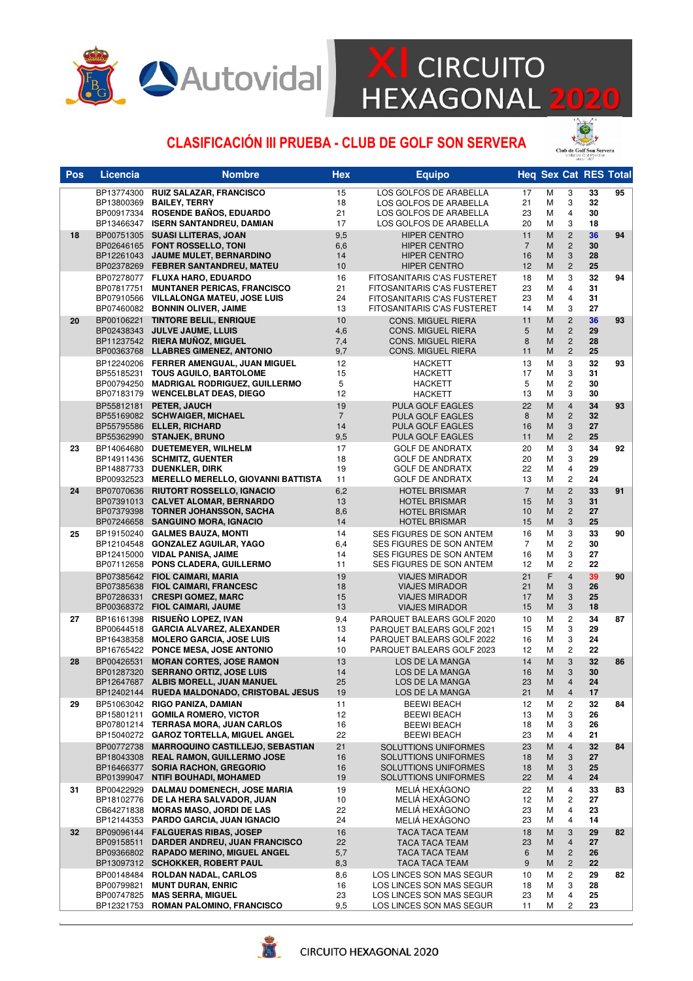

# **X** CIRCUITO<br>HEXAGONAL 2020

#### CLASIFICACIÓN III PRUEBA - CLUB DE GOLF SON SERVERA



| Pos | <b>Licencia</b>          | <b>Nombre</b>                                                                                                                                                 | <b>Hex</b>                        | <b>Equipo</b>                                                                                                                   |                                  |                  |                                                                      | <b>Heq Sex Cat RES Total</b> |    |
|-----|--------------------------|---------------------------------------------------------------------------------------------------------------------------------------------------------------|-----------------------------------|---------------------------------------------------------------------------------------------------------------------------------|----------------------------------|------------------|----------------------------------------------------------------------|------------------------------|----|
|     | BP13774300<br>BP13800369 | <b>RUIZ SALAZAR, FRANCISCO</b><br><b>BAILEY, TERRY</b><br>BP00917334 ROSENDE BAÑOS, EDUARDO<br>BP13466347 ISERN SANTANDREU, DAMIAN                            | 15<br>18<br>21<br>17              | LOS GOLFOS DE ARABELLA<br>LOS GOLFOS DE ARABELLA<br>LOS GOLFOS DE ARABELLA<br>LOS GOLFOS DE ARABELLA                            | 17<br>21<br>23<br>20             | M<br>M<br>M<br>M | 3<br>3<br>4<br>3                                                     | 33<br>32<br>30<br>18         | 95 |
| 18  |                          | BP00751305 SUASI LLITERAS, JOAN<br>BP02646165 FONT ROSSELLO, TONI<br>BP12261043 JAUME MULET, BERNARDINO<br>BP02378269 FEBRER SANTANDREU, MATEU                | 9,5<br>6,6<br>14<br>10            | <b>HIPER CENTRO</b><br><b>HIPER CENTRO</b><br><b>HIPER CENTRO</b><br><b>HIPER CENTRO</b>                                        | 11<br>$\overline{7}$<br>16<br>12 | M<br>M<br>M<br>M | $\overline{c}$<br>$\overline{c}$<br>3<br>$\overline{c}$              | 36<br>30<br>28<br>25         | 94 |
|     |                          | BP07278077 FLUXA HARO, EDUARDO<br>BP07817751 MUNTANER PERICAS, FRANCISCO<br>BP07910566 VILLALONGA MATEU, JOSE LUIS<br>BP07460082 BONNIN OLIVER, JAIME         | 16<br>21<br>24<br>13              | FITOSANITARIS C'AS FUSTERET<br>FITOSANITARIS C'AS FUSTERET<br>FITOSANITARIS C'AS FUSTERET<br><b>FITOSANITARIS C'AS FUSTERET</b> | 18<br>23<br>23<br>14             | M<br>M<br>M<br>M | 3<br>4<br>4<br>3                                                     | 32<br>31<br>31<br>27         | 94 |
| 20  |                          | BP00106221 TINTORE BELIL, ENRIQUE<br>BP02438343 JULVE JAUME, LLUIS<br>BP11237542 RIERA MUÑOZ, MIGUEL<br>BP00363768 LLABRES GIMENEZ, ANTONIO                   | 10<br>4,6<br>7,4<br>9,7           | <b>CONS. MIGUEL RIERA</b><br><b>CONS. MIGUEL RIERA</b><br><b>CONS. MIGUEL RIERA</b><br><b>CONS. MIGUEL RIERA</b>                | 11<br>5<br>8<br>11               | M<br>M<br>M<br>M | $\overline{c}$<br>$\overline{c}$<br>$\overline{c}$<br>$\overline{c}$ | 36<br>29<br>28<br>25         | 93 |
|     |                          | BP12240206 FERRER AMENGUAL, JUAN MIGUEL<br>BP55185231 TOUS AGUILO, BARTOLOME<br>BP00794250 MADRIGAL RODRIGUEZ, GUILLERMO<br>BP07183179 WENCELBLAT DEAS, DIEGO | 12<br>15<br>5<br>12               | <b>HACKETT</b><br><b>HACKETT</b><br><b>HACKETT</b><br><b>HACKETT</b>                                                            | 13<br>17<br>5<br>13              | M<br>M<br>M<br>M | 3<br>3<br>$\overline{\mathbf{c}}$<br>3                               | 32<br>31<br>30<br>30         | 93 |
|     |                          | BP55812181 PETER, JAUCH<br>BP55169082 SCHWAIGER. MICHAEL<br>BP55795586 ELLER, RICHARD<br>BP55362990 STANJEK, BRUNO                                            | 19<br>$\overline{7}$<br>14<br>9,5 | PULA GOLF EAGLES<br><b>PULA GOLF EAGLES</b><br><b>PULA GOLF EAGLES</b><br><b>PULA GOLF EAGLES</b>                               | 22<br>8<br>16<br>11              | M<br>M<br>M<br>M | $\overline{\mathbf{4}}$<br>$\overline{c}$<br>3<br>$\overline{2}$     | 34<br>32<br>27<br>25         | 93 |
| 23  |                          | BP14064680 DUETEMEYER, WILHELM<br>BP14911436 SCHMITZ, GUENTER<br>BP14887733 DUENKLER, DIRK<br>BP00932523 MERELLO MERELLO, GIOVANNI BATTISTA                   | 17<br>18<br>19<br>11              | <b>GOLF DE ANDRATX</b><br><b>GOLF DE ANDRATX</b><br><b>GOLF DE ANDRATX</b><br><b>GOLF DE ANDRATX</b>                            | 20<br>20<br>22<br>13             | M<br>M<br>M<br>M | 3<br>3<br>4<br>$\overline{\mathbf{c}}$                               | 34<br>29<br>29<br>24         | 92 |
| 24  |                          | BP07070636 RIUTORT ROSSELLO, IGNACIO<br>BP07391013 CALVET ALOMAR, BERNARDO<br>BP07379398 TORNER JOHANSSON, SACHA<br>BP07246658 SANGUINO MORA, IGNACIO         | 6,2<br>13<br>8,6<br>14            | <b>HOTEL BRISMAR</b><br><b>HOTEL BRISMAR</b><br><b>HOTEL BRISMAR</b><br><b>HOTEL BRISMAR</b>                                    | $\overline{7}$<br>15<br>10<br>15 | M<br>M<br>M<br>M | $\overline{c}$<br>3<br>$\overline{c}$<br>3                           | 33<br>31<br>27<br>25         | 91 |
| 25  |                          | BP19150240 GALMES BAUZA, MONTI<br>BP12104548 GONZALEZ AGUILAR, YAGO<br>BP12415000 VIDAL PANISA, JAIME<br>BP07112658 PONS CLADERA, GUILLERMO                   | 14<br>6,4<br>14<br>11             | SES FIGURES DE SON ANTEM<br>SES FIGURES DE SON ANTEM<br>SES FIGURES DE SON ANTEM<br>SES FIGURES DE SON ANTEM                    | 16<br>$\overline{7}$<br>16<br>12 | M<br>M<br>M<br>M | 3<br>$\overline{c}$<br>3<br>$\overline{c}$                           | 33<br>30<br>27<br>22         | 90 |
|     |                          | BP07385642 FIOL CAIMARI, MARIA<br>BP07385638 FIOL CAIMARI, FRANCESC<br>BP07286331 CRESPI GOMEZ, MARC<br>BP00368372 FIOL CAIMARI, JAUME                        | 19<br>18<br>15<br>13              | <b>VIAJES MIRADOR</b><br><b>VIAJES MIRADOR</b><br><b>VIAJES MIRADOR</b><br><b>VIAJES MIRADOR</b>                                | 21<br>21<br>17<br>15             | F<br>M<br>M<br>M | $\overline{\mathbf{4}}$<br>3<br>3<br>3                               | 39<br>26<br>25<br>18         | 90 |
| 27  |                          | BP16161398 RISUEÑO LOPEZ, IVAN<br>BP00644518 GARCIA ALVAREZ, ALEXANDER<br>BP16438358 MOLERO GARCIA, JOSE LUIS<br>BP16765422 PONCE MESA, JOSE ANTONIO          | 9,4<br>13<br>14<br>10             | PARQUET BALEARS GOLF 2020<br>PARQUET BALEARS GOLF 2021<br>PARQUET BALEARS GOLF 2022<br>PARQUET BALEARS GOLF 2023                | 10<br>15<br>16<br>12             | M<br>M<br>M<br>M | $\overline{c}$<br>3<br>3<br>$\overline{\mathbf{c}}$                  | 34<br>29<br>24<br>22         | 87 |
| 28  | BP12402144               | BP00426531 MORAN CORTES, JOSE RAMON<br>BP01287320 SERRANO ORTIZ, JOSE LUIS<br>BP12647687 ALBIS MORELL, JUAN MANUEL<br>RUEDA MALDONADO, CRISTOBAL JESUS        | 13<br>14<br>25<br>19              | LOS DE LA MANGA<br><b>LOS DE LA MANGA</b><br>LOS DE LA MANGA<br>LOS DE LA MANGA                                                 | 14<br>16<br>23<br>21             | M<br>M<br>M<br>M | 3<br>3<br>$\overline{4}$<br>4                                        | 32<br>30<br>24<br>17         | 86 |
| 29  |                          | BP51063042 RIGO PANIZA, DAMIAN<br>BP15801211 GOMILA ROMERO, VICTOR<br>BP07801214 TERRASA MORA, JUAN CARLOS<br>BP15040272 GAROZ TORTELLA, MIGUEL ANGEL         | 11<br>12<br>16<br>22              | <b>BEEWI BEACH</b><br><b>BEEWI BEACH</b><br><b>BEEWI BEACH</b><br><b>BEEWI BEACH</b>                                            | 12<br>13<br>18<br>23             | M<br>М<br>М<br>M | 2<br>3<br>3<br>4                                                     | 32<br>26<br>26<br>21         | 84 |
|     | BP00772738<br>BP01399047 | <b>MARROQUINO CASTILLEJO, SEBASTIAN</b><br>BP18043308 REAL RAMON, GUILLERMO JOSE<br>BP16466377 SORIA RACHON, GREGORIO<br><b>NTIFI BOUHADI, MOHAMED</b>        | 21<br>16<br>16<br>19              | SOLUTTIONS UNIFORMES<br>SOLUTTIONS UNIFORMES<br>SOLUTTIONS UNIFORMES<br>SOLUTTIONS UNIFORMES                                    | 23<br>18<br>18<br>22             | M<br>M<br>M<br>M | $\overline{\mathbf{4}}$<br>3<br>3<br>4                               | 32<br>27<br>25<br>24         | 84 |
| 31  | BP00422929               | <b>DALMAU DOMENECH, JOSE MARIA</b><br>BP18102776 DE LA HERA SALVADOR, JUAN<br>CB64271838 MORAS MASO, JORDI DE LAS<br>BP12144353 PARDO GARCIA, JUAN IGNACIO    | 19<br>10<br>22<br>24              | MELIÁ HEXÁGONO<br>MELIA HEXAGONO<br>MELIA HEXAGONO<br>MELIA HEXAGONO                                                            | 22<br>12<br>23<br>23             | М<br>М<br>М<br>M | 4<br>2<br>4<br>4                                                     | 33<br>27<br>23<br>14         | 83 |
| 32  | BP09158511               | BP09096144 FALGUERAS RIBAS, JOSEP<br><b>DARDER ANDREU, JUAN FRANCISCO</b><br>BP09366802 RAPADO MERINO, MIGUEL ANGEL<br>BP13097312 SCHOKKER, ROBERT PAUL       | 16<br>22<br>5,7<br>8,3            | <b>TACA TACA TEAM</b><br>TACA TACA TEAM<br><b>TACA TACA TEAM</b><br>TACA TACA TEAM                                              | 18<br>23<br>6<br>9               | M<br>M<br>M<br>M | 3<br>4<br>2<br>$\overline{c}$                                        | 29<br>27<br>26<br>22         | 82 |
|     | BP00799821               | BP00148484 ROLDAN NADAL, CARLOS<br><b>MUNT DURAN, ENRIC</b><br>BP00747825 MAS SERRA, MIGUEL<br>BP12321753 ROMAN PALOMINO, FRANCISCO                           | 8,6<br>16<br>23<br>9,5            | LOS LINCES SON MAS SEGUR<br>LOS LINCES SON MAS SEGUR<br>LOS LINCES SON MAS SEGUR<br>LOS LINCES SON MAS SEGUR                    | 10<br>18<br>23<br>11             | M<br>м<br>М<br>Μ | 2<br>3<br>4<br>2                                                     | 29<br>28<br>25<br>23         | 82 |